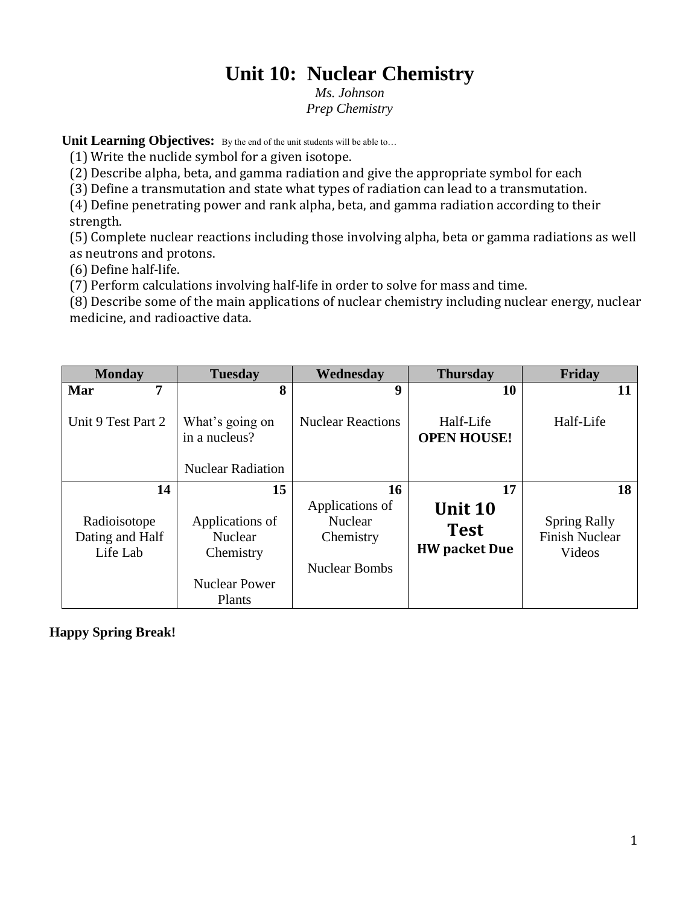# **Unit 10: Nuclear Chemistry**

*Ms. Johnson Prep Chemistry*

Unit Learning Objectives: By the end of the unit students will be able to...

(1) Write the nuclide symbol for a given isotope.

(2) Describe alpha, beta, and gamma radiation and give the appropriate symbol for each

(3) Define a transmutation and state what types of radiation can lead to a transmutation.

(4) Define penetrating power and rank alpha, beta, and gamma radiation according to their strength.

(5) Complete nuclear reactions including those involving alpha, beta or gamma radiations as well as neutrons and protons.

(6) Define half-life.

(7) Perform calculations involving half-life in order to solve for mass and time.

(8) Describe some of the main applications of nuclear chemistry including nuclear energy, nuclear medicine, and radioactive data.

| <b>Monday</b>                               | <b>Tuesday</b>                                                                   | Wednesday                                                              | <b>Thursday</b>                                | Friday                                                 |
|---------------------------------------------|----------------------------------------------------------------------------------|------------------------------------------------------------------------|------------------------------------------------|--------------------------------------------------------|
| 7<br>Mar                                    | 8                                                                                | 9                                                                      | 10                                             |                                                        |
| Unit 9 Test Part 2                          | What's going on<br>in a nucleus?<br><b>Nuclear Radiation</b>                     | <b>Nuclear Reactions</b>                                               | Half-Life<br><b>OPEN HOUSE!</b>                | Half-Life                                              |
| 14                                          | 15                                                                               | 16                                                                     | 17                                             | 18                                                     |
| Radioisotope<br>Dating and Half<br>Life Lab | Applications of<br><b>Nuclear</b><br>Chemistry<br><b>Nuclear Power</b><br>Plants | Applications of<br><b>Nuclear</b><br>Chemistry<br><b>Nuclear Bombs</b> | Unit 10<br><b>Test</b><br><b>HW</b> packet Due | <b>Spring Rally</b><br><b>Finish Nuclear</b><br>Videos |

**Happy Spring Break!**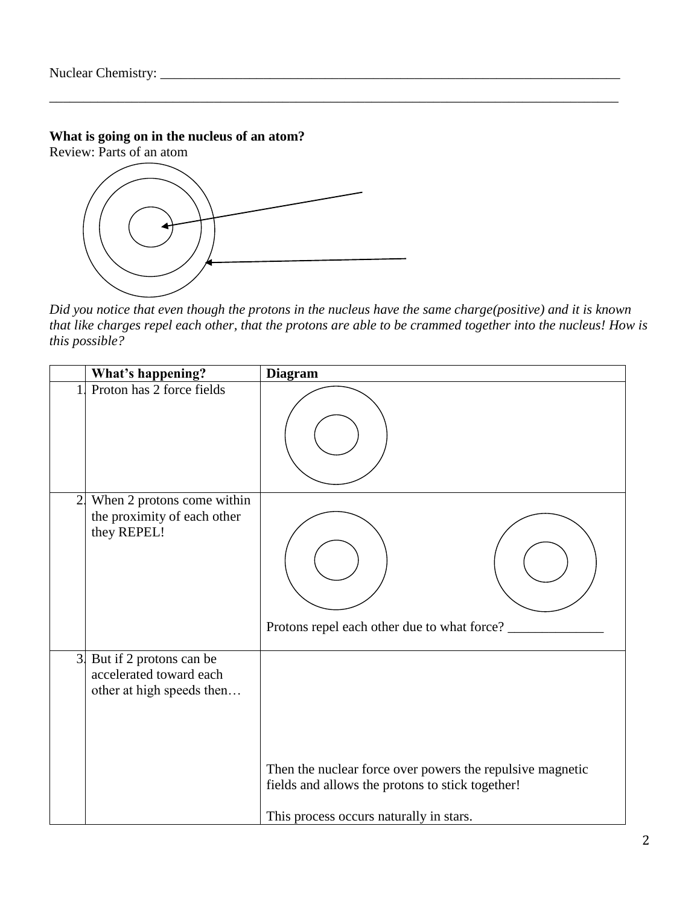# **What is going on in the nucleus of an atom?**

Review: Parts of an atom



*Did you notice that even though the protons in the nucleus have the same charge(positive) and it is known that like charges repel each other, that the protons are able to be crammed together into the nucleus! How is this possible?*

\_\_\_\_\_\_\_\_\_\_\_\_\_\_\_\_\_\_\_\_\_\_\_\_\_\_\_\_\_\_\_\_\_\_\_\_\_\_\_\_\_\_\_\_\_\_\_\_\_\_\_\_\_\_\_\_\_\_\_\_\_\_\_\_\_\_\_\_\_\_\_\_\_\_\_\_\_\_\_\_\_\_\_

|                | What's happening?                                                               | <b>Diagram</b>                                                                                                                                           |
|----------------|---------------------------------------------------------------------------------|----------------------------------------------------------------------------------------------------------------------------------------------------------|
|                | Proton has 2 force fields                                                       |                                                                                                                                                          |
| 2 <sub>1</sub> | When 2 protons come within<br>the proximity of each other<br>they REPEL!        | Protons repel each other due to what force?                                                                                                              |
| 3 <sup>1</sup> | But if 2 protons can be<br>accelerated toward each<br>other at high speeds then | Then the nuclear force over powers the repulsive magnetic<br>fields and allows the protons to stick together!<br>This process occurs naturally in stars. |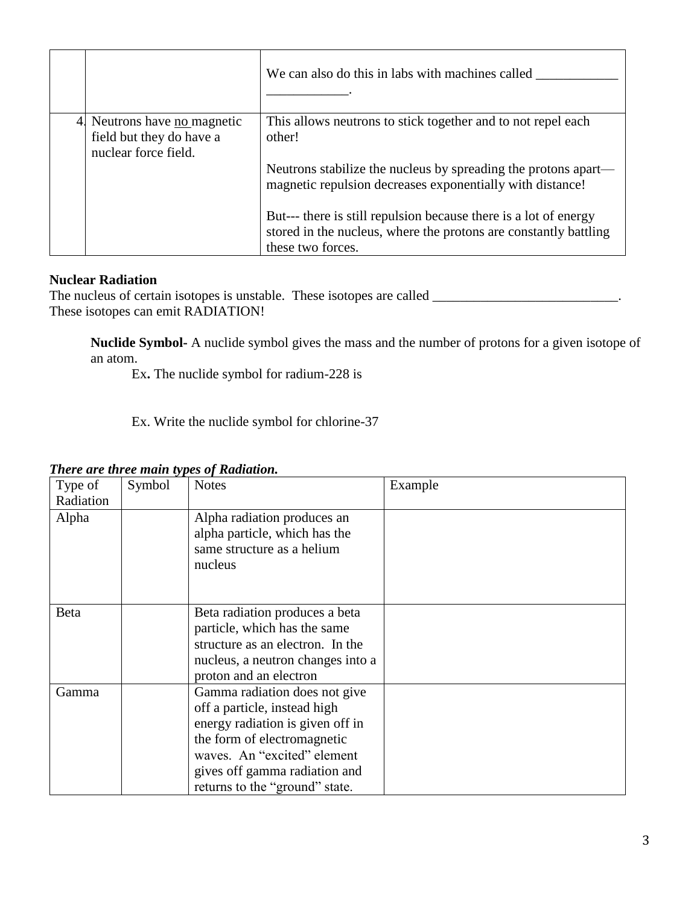|                                                                                         | We can also do this in labs with machines called                                                                                                          |
|-----------------------------------------------------------------------------------------|-----------------------------------------------------------------------------------------------------------------------------------------------------------|
| 4. Neutrons have <u>no</u> magnetic<br>field but they do have a<br>nuclear force field. | This allows neutrons to stick together and to not repel each<br>other!                                                                                    |
|                                                                                         | Neutrons stabilize the nucleus by spreading the protons apart—<br>magnetic repulsion decreases exponentially with distance!                               |
|                                                                                         | But--- there is still repulsion because there is a lot of energy<br>stored in the nucleus, where the protons are constantly battling<br>these two forces. |

# **Nuclear Radiation**

The nucleus of certain isotopes is unstable. These isotopes are called \_\_\_\_\_\_\_\_\_\_\_\_\_\_\_\_\_\_\_\_\_\_\_\_\_\_\_. These isotopes can emit RADIATION!

**Nuclide Symbol-** A nuclide symbol gives the mass and the number of protons for a given isotope of an atom.

Ex**.** The nuclide symbol for radium-228 is

Ex. Write the nuclide symbol for chlorine-37

| Type of<br>Radiation | Symbol | <b>Notes</b>                                                   | Example |
|----------------------|--------|----------------------------------------------------------------|---------|
| Alpha                |        | Alpha radiation produces an                                    |         |
|                      |        | alpha particle, which has the<br>same structure as a helium    |         |
|                      |        | nucleus                                                        |         |
|                      |        |                                                                |         |
| <b>B</b> eta         |        | Beta radiation produces a beta<br>particle, which has the same |         |
|                      |        | structure as an electron. In the                               |         |
|                      |        | nucleus, a neutron changes into a<br>proton and an electron    |         |
| Gamma                |        | Gamma radiation does not give                                  |         |
|                      |        | off a particle, instead high                                   |         |
|                      |        | energy radiation is given off in                               |         |
|                      |        | the form of electromagnetic                                    |         |
|                      |        | waves. An "excited" element                                    |         |
|                      |        | gives off gamma radiation and                                  |         |
|                      |        | returns to the "ground" state.                                 |         |

## *There are three main types of Radiation.*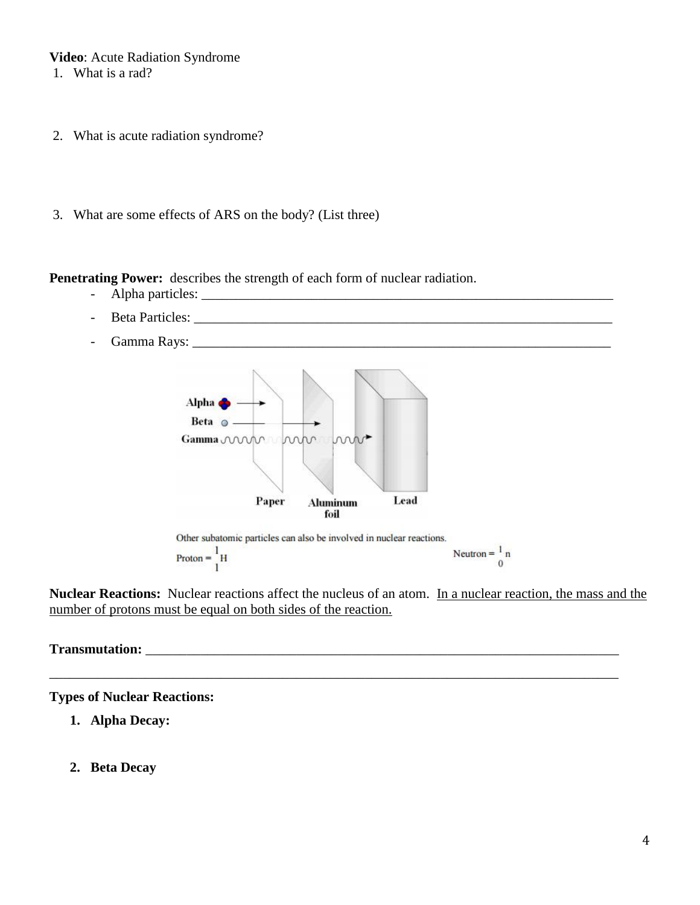## **Video**: Acute Radiation Syndrome

- 1. What is a rad?
- 2. What is acute radiation syndrome?
- 3. What are some effects of ARS on the body? (List three)

**Penetrating Power:** describes the strength of each form of nuclear radiation.

- Alpha particles: \_\_\_\_\_\_\_\_\_\_\_\_\_\_\_\_\_\_\_\_\_\_\_\_\_\_\_\_\_\_\_\_\_\_\_\_\_\_\_\_\_\_\_\_\_\_\_\_\_\_\_\_\_\_\_\_\_\_\_\_
- Beta Particles: \_\_\_\_\_\_\_\_\_\_\_\_\_\_\_\_\_\_\_\_\_\_\_\_\_\_\_\_\_\_\_\_\_\_\_\_\_\_\_\_\_\_\_\_\_\_\_\_\_\_\_\_\_\_\_\_\_\_\_\_\_
- Gamma Rays: \_\_\_\_\_\_\_\_\_\_\_\_\_\_\_\_\_\_\_\_\_\_\_\_\_\_\_\_\_\_\_\_\_\_\_\_\_\_\_\_\_\_\_\_\_\_\_\_\_\_\_\_\_\_\_\_\_\_\_\_\_





**Nuclear Reactions:** Nuclear reactions affect the nucleus of an atom. In a nuclear reaction, the mass and the number of protons must be equal on both sides of the reaction.

\_\_\_\_\_\_\_\_\_\_\_\_\_\_\_\_\_\_\_\_\_\_\_\_\_\_\_\_\_\_\_\_\_\_\_\_\_\_\_\_\_\_\_\_\_\_\_\_\_\_\_\_\_\_\_\_\_\_\_\_\_\_\_\_\_\_\_\_\_\_\_\_\_\_\_\_\_\_\_\_\_\_\_

## **Transmutation:** \_\_\_\_\_\_\_\_\_\_\_\_\_\_\_\_\_\_\_\_\_\_\_\_\_\_\_\_\_\_\_\_\_\_\_\_\_\_\_\_\_\_\_\_\_\_\_\_\_\_\_\_\_\_\_\_\_\_\_\_\_\_\_\_\_\_\_\_\_

## **Types of Nuclear Reactions:**

- **1. Alpha Decay:**
- **2. Beta Decay**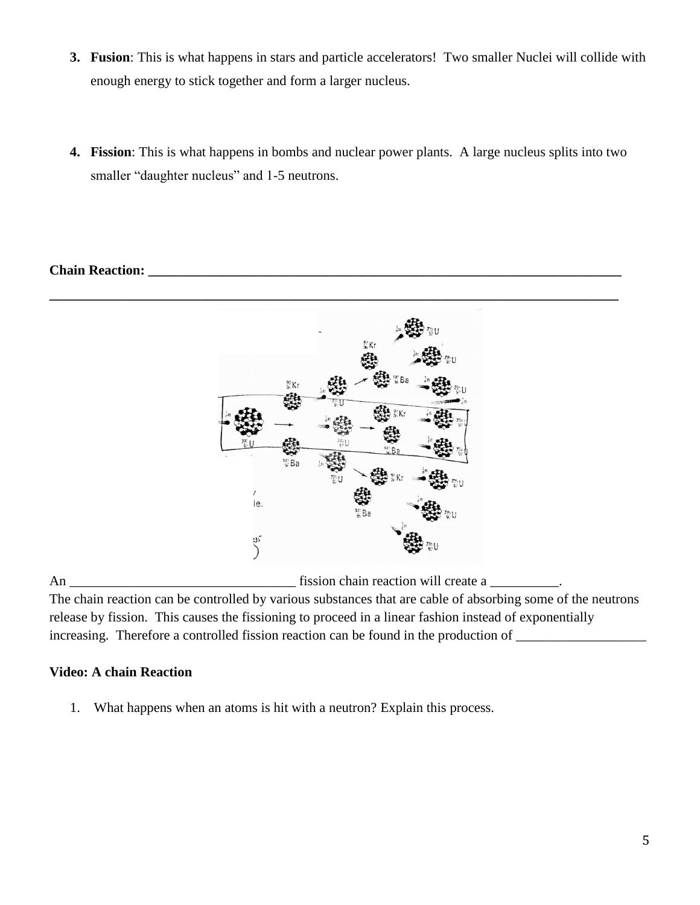- **3. Fusion**: This is what happens in stars and particle accelerators! Two smaller Nuclei will collide with enough energy to stick together and form a larger nucleus.
- **4. Fission**: This is what happens in bombs and nuclear power plants. A large nucleus splits into two smaller "daughter nucleus" and 1-5 neutrons.

# **Chain Reaction:** *Chain Reaction:* $\mathbb{R}^n$



An \_\_\_\_\_\_\_\_\_\_\_\_\_\_\_\_\_\_\_\_\_\_\_\_\_\_\_\_\_\_\_\_\_ fission chain reaction will create a \_\_\_\_\_\_\_\_\_\_.

The chain reaction can be controlled by various substances that are cable of absorbing some of the neutrons release by fission. This causes the fissioning to proceed in a linear fashion instead of exponentially increasing. Therefore a controlled fission reaction can be found in the production of

# **Video: A chain Reaction**

1. What happens when an atoms is hit with a neutron? Explain this process.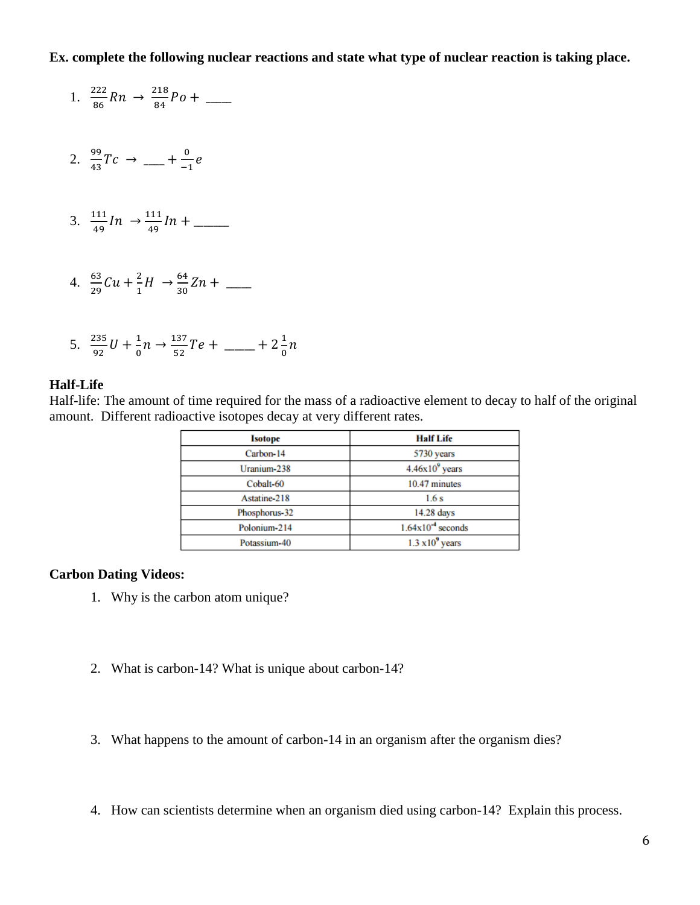## **Ex. complete the following nuclear reactions and state what type of nuclear reaction is taking place.**

1. 
$$
\frac{222}{86}Rn \rightarrow \frac{218}{84}Po + \underline{\qquad}
$$
  
2. 
$$
\frac{99}{43}Tc \rightarrow \underline{\qquad} + \frac{0}{-1}e
$$
  
3. 
$$
\frac{111}{49}In \rightarrow \frac{111}{49}In + \underline{\qquad}
$$
  
4. 
$$
\frac{63}{29}Cu + \frac{2}{1}H \rightarrow \frac{64}{30}Zn + \underline{\qquad}
$$

5. 
$$
\frac{235}{92}U + \frac{1}{0}n \rightarrow \frac{137}{52}Te + \dots + 2\frac{1}{0}n
$$

#### **Half-Life**

Half-life: The amount of time required for the mass of a radioactive element to decay to half of the original amount. Different radioactive isotopes decay at very different rates.

| <b>Isotope</b> | <b>Half Life</b>        |  |
|----------------|-------------------------|--|
| Carbon-14      | 5730 years              |  |
| Uranium-238    | $4.46x109$ years        |  |
| Cobalt-60      | 10.47 minutes           |  |
| Astatine-218   | 1.6s                    |  |
| Phosphorus-32  | 14.28 days              |  |
| Polonium-214   | $1.64x10^{-4}$ seconds  |  |
| Potassium-40   | $1.3 \times 10^9$ years |  |

## **Carbon Dating Videos:**

- 1. Why is the carbon atom unique?
- 2. What is carbon-14? What is unique about carbon-14?
- 3. What happens to the amount of carbon-14 in an organism after the organism dies?
- 4. How can scientists determine when an organism died using carbon-14? Explain this process.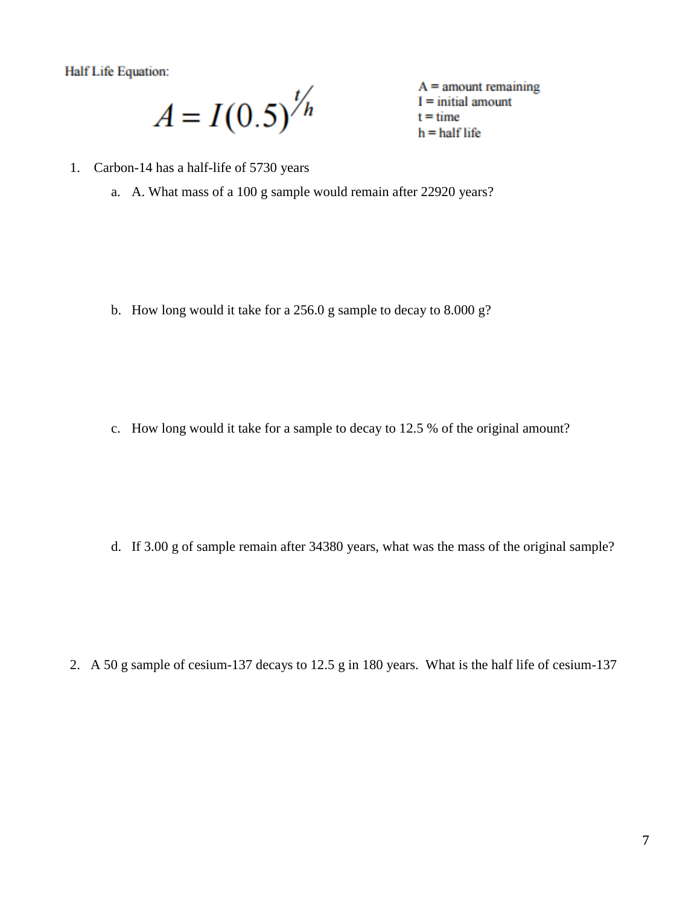**Half Life Equation:** 

 $A = I(0.5)^{\frac{t}{h}}$ 

 $A =$  amount remaining  $I = initial amount$  $t = time$  $h = half$  life

- 1. Carbon-14 has a half-life of 5730 years
	- a. A. What mass of a 100 g sample would remain after 22920 years?

b. How long would it take for a 256.0 g sample to decay to 8.000 g?

c. How long would it take for a sample to decay to 12.5 % of the original amount?

d. If 3.00 g of sample remain after 34380 years, what was the mass of the original sample?

2. A 50 g sample of cesium-137 decays to 12.5 g in 180 years. What is the half life of cesium-137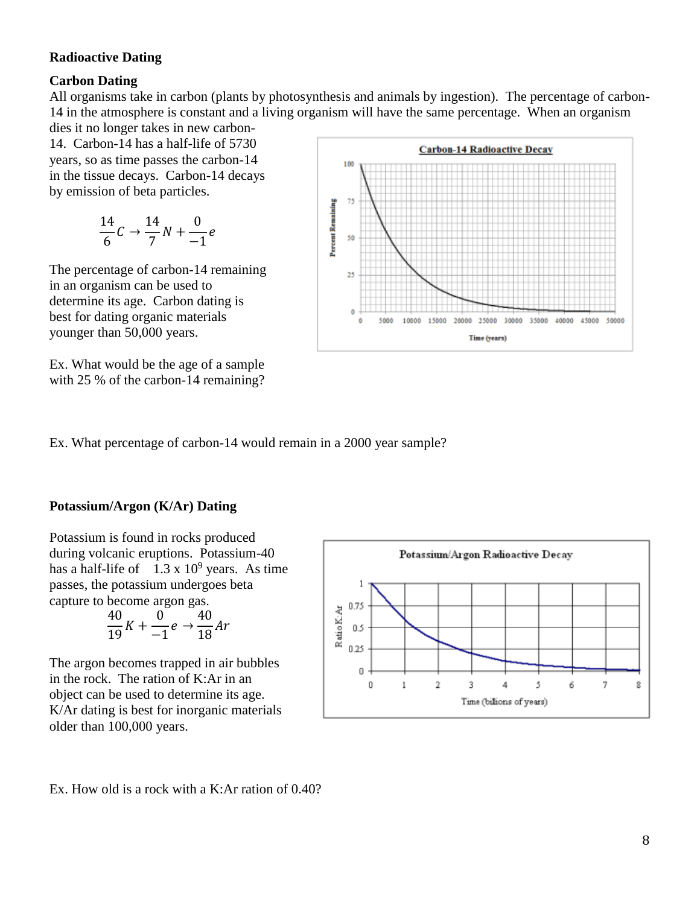## **Radioactive Dating**

## **Carbon Dating**

All organisms take in carbon (plants by photosynthesis and animals by ingestion). The percentage of carbon-14 in the atmosphere is constant and a living organism will have the same percentage. When an organism

dies it no longer takes in new carbon-14. Carbon-14 has a half-life of 5730 years, so as time passes the carbon-14 in the tissue decays. Carbon-14 decays by emission of beta particles.

$$
\frac{14}{6}C \rightarrow \frac{14}{7}N + \frac{0}{-1}e
$$

The percentage of carbon-14 remaining in an organism can be used to determine its age. Carbon dating is best for dating organic materials younger than 50,000 years.

Ex. What would be the age of a sample with 25 % of the carbon-14 remaining?



Ex. What percentage of carbon-14 would remain in a 2000 year sample?

## **Potassium/Argon (K/Ar) Dating**

Potassium is found in rocks produced during volcanic eruptions. Potassium-40 has a half-life of  $1.3 \times 10^9$  years. As time passes, the potassium undergoes beta capture to become argon gas.

$$
\frac{40}{19}K + \frac{0}{-1}e \rightarrow \frac{40}{18}Ar
$$

The argon becomes trapped in air bubbles in the rock. The ration of K:Ar in an object can be used to determine its age. K/Ar dating is best for inorganic materials older than 100,000 years.



Ex. How old is a rock with a K:Ar ration of 0.40?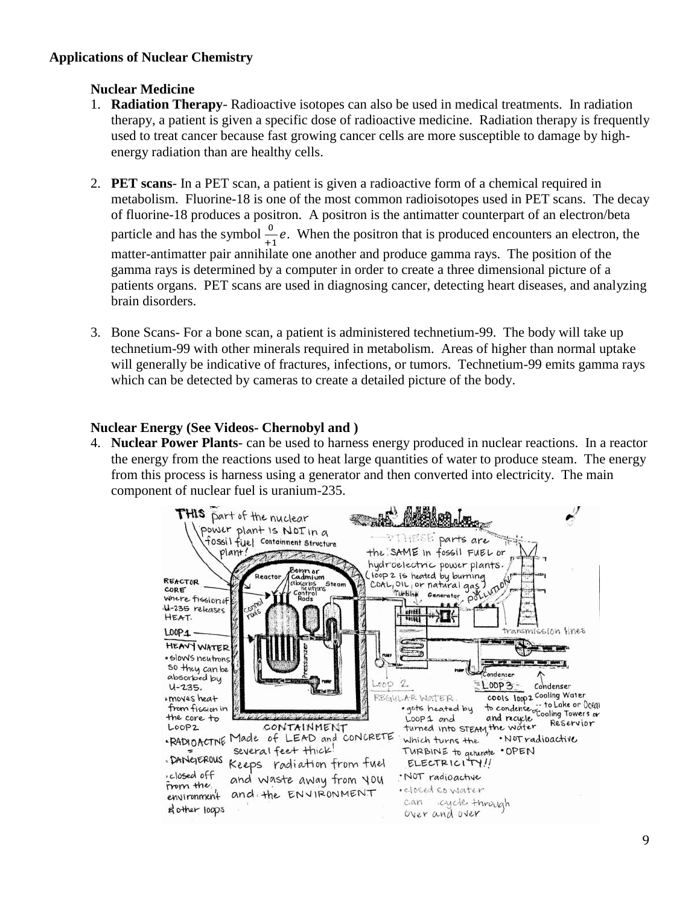# **Applications of Nuclear Chemistry**

# **Nuclear Medicine**

- 1. **Radiation Therapy** Radioactive isotopes can also be used in medical treatments. In radiation therapy, a patient is given a specific dose of radioactive medicine. Radiation therapy is frequently used to treat cancer because fast growing cancer cells are more susceptible to damage by highenergy radiation than are healthy cells.
- 2. **PET scans** In a PET scan, a patient is given a radioactive form of a chemical required in metabolism. Fluorine-18 is one of the most common radioisotopes used in PET scans. The decay of fluorine-18 produces a positron. A positron is the antimatter counterpart of an electron/beta particle and has the symbol  $\frac{0}{+1}e$ . When the positron that is produced encounters an electron, the matter-antimatter pair annihilate one another and produce gamma rays. The position of the gamma rays is determined by a computer in order to create a three dimensional picture of a patients organs. PET scans are used in diagnosing cancer, detecting heart diseases, and analyzing brain disorders.
- 3. Bone Scans- For a bone scan, a patient is administered technetium-99. The body will take up technetium-99 with other minerals required in metabolism. Areas of higher than normal uptake will generally be indicative of fractures, infections, or tumors. Technetium-99 emits gamma rays which can be detected by cameras to create a detailed picture of the body.

# **Nuclear Energy (See Videos- Chernobyl and )**

4. **Nuclear Power Plants**- can be used to harness energy produced in nuclear reactions. In a reactor the energy from the reactions used to heat large quantities of water to produce steam. The energy from this process is harness using a generator and then converted into electricity. The main component of nuclear fuel is uranium-235.